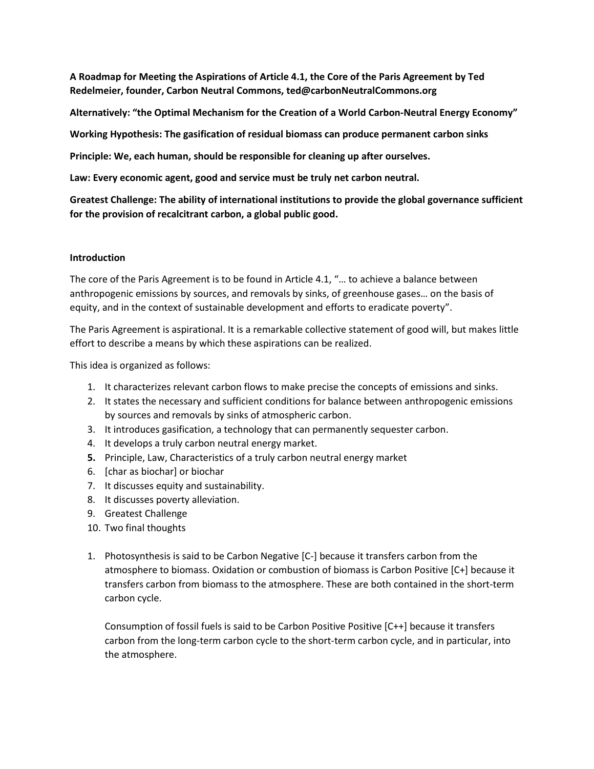**A Roadmap for Meeting the Aspirations of Article 4.1, the Core of the Paris Agreement by Ted Redelmeier, founder, Carbon Neutral Commons, ted@carbonNeutralCommons.org**

**Alternatively: "the Optimal Mechanism for the Creation of a World Carbon-Neutral Energy Economy"**

**Working Hypothesis: The gasification of residual biomass can produce permanent carbon sinks**

**Principle: We, each human, should be responsible for cleaning up after ourselves.**

**Law: Every economic agent, good and service must be truly net carbon neutral.** 

**Greatest Challenge: The ability of international institutions to provide the global governance sufficient for the provision of recalcitrant carbon, a global public good.**

## **Introduction**

The core of the Paris Agreement is to be found in Article 4.1, "… to achieve a balance between anthropogenic emissions by sources, and removals by sinks, of greenhouse gases… on the basis of equity, and in the context of sustainable development and efforts to eradicate poverty".

The Paris Agreement is aspirational. It is a remarkable collective statement of good will, but makes little effort to describe a means by which these aspirations can be realized.

This idea is organized as follows:

- 1. It characterizes relevant carbon flows to make precise the concepts of emissions and sinks.
- 2. It states the necessary and sufficient conditions for balance between anthropogenic emissions by sources and removals by sinks of atmospheric carbon.
- 3. It introduces gasification, a technology that can permanently sequester carbon.
- 4. It develops a truly carbon neutral energy market.
- **5.** Principle, Law, Characteristics of a truly carbon neutral energy market
- 6. [char as biochar] or biochar
- 7. It discusses equity and sustainability.
- 8. It discusses poverty alleviation.
- 9. Greatest Challenge
- 10. Two final thoughts
- 1. Photosynthesis is said to be Carbon Negative [C-] because it transfers carbon from the atmosphere to biomass. Oxidation or combustion of biomass is Carbon Positive [C+] because it transfers carbon from biomass to the atmosphere. These are both contained in the short-term carbon cycle.

Consumption of fossil fuels is said to be Carbon Positive Positive [C++] because it transfers carbon from the long-term carbon cycle to the short-term carbon cycle, and in particular, into the atmosphere.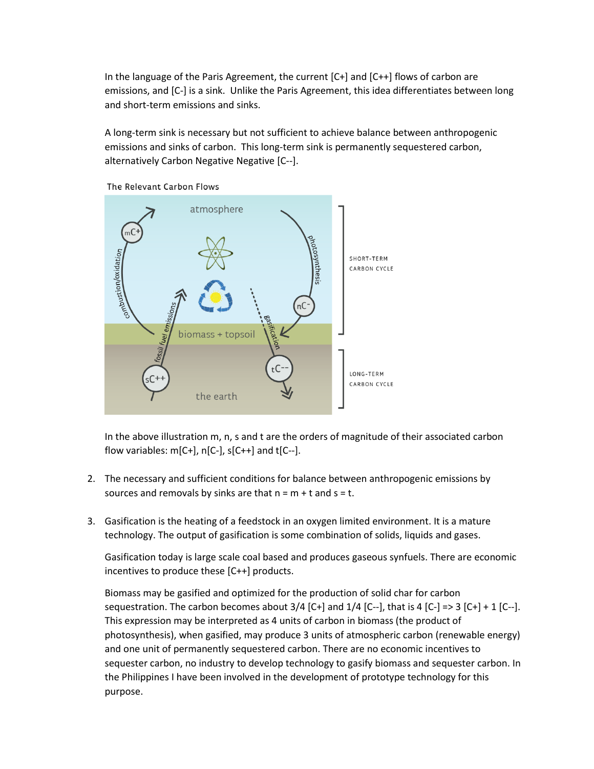In the language of the Paris Agreement, the current [C+] and [C++] flows of carbon are emissions, and [C-] is a sink. Unlike the Paris Agreement, this idea differentiates between long and short-term emissions and sinks.

A long-term sink is necessary but not sufficient to achieve balance between anthropogenic emissions and sinks of carbon. This long-term sink is permanently sequestered carbon, alternatively Carbon Negative Negative [C--].



The Relevant Carbon Flows

In the above illustration m, n, s and t are the orders of magnitude of their associated carbon flow variables:  $m[{\text{C-}}]$ ,  $n[{\text{C-}}]$ ,  $s[{\text{C++}}]$  and  $t[{\text{C--}}]$ .

- 2. The necessary and sufficient conditions for balance between anthropogenic emissions by sources and removals by sinks are that  $n = m + t$  and  $s = t$ .
- 3. Gasification is the heating of a feedstock in an oxygen limited environment. It is a mature technology. The output of gasification is some combination of solids, liquids and gases.

Gasification today is large scale coal based and produces gaseous synfuels. There are economic incentives to produce these [C++] products.

Biomass may be gasified and optimized for the production of solid char for carbon sequestration. The carbon becomes about  $3/4$  [C+] and  $1/4$  [C--], that is 4 [C-] => 3 [C+] + 1 [C--]. This expression may be interpreted as 4 units of carbon in biomass (the product of photosynthesis), when gasified, may produce 3 units of atmospheric carbon (renewable energy) and one unit of permanently sequestered carbon. There are no economic incentives to sequester carbon, no industry to develop technology to gasify biomass and sequester carbon. In the Philippines I have been involved in the development of prototype technology for this purpose.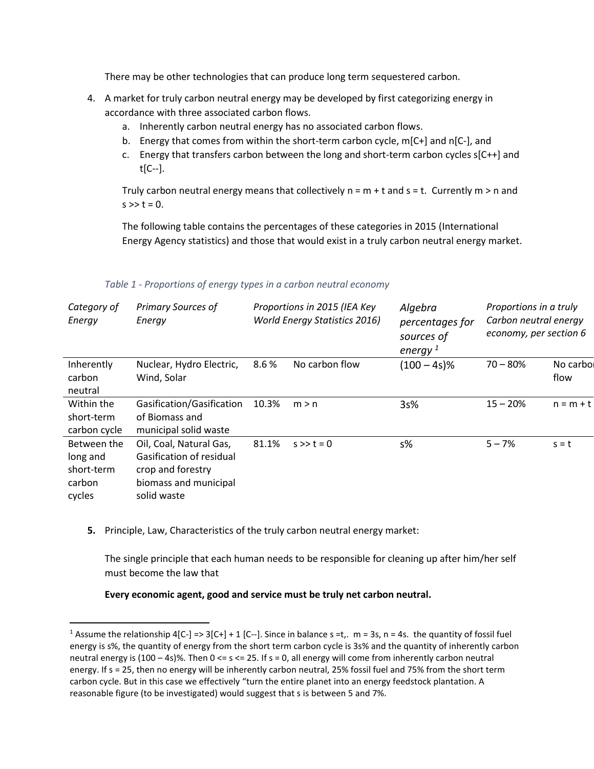There may be other technologies that can produce long term sequestered carbon.

- 4. A market for truly carbon neutral energy may be developed by first categorizing energy in accordance with three associated carbon flows.
	- a. Inherently carbon neutral energy has no associated carbon flows.
	- b. Energy that comes from within the short-term carbon cycle,  $m[CE]$  and  $n[C-]$ , and
	- c. Energy that transfers carbon between the long and short-term carbon cycles s[C++] and t[C--].

Truly carbon neutral energy means that collectively  $n = m + t$  and  $s = t$ . Currently  $m > n$  and  $s \gg t = 0$ .

The following table contains the percentages of these categories in 2015 (International Energy Agency statistics) and those that would exist in a truly carbon neutral energy market.

| Category of<br>Energy | <b>Primary Sources of</b><br>Energy |       | Proportions in 2015 (IEA Key<br><b>World Energy Statistics 2016)</b> | Algebra<br>percentages for<br>sources of<br>energy <sup>1</sup> | Proportions in a truly<br>Carbon neutral energy<br>economy, per section 6 |             |
|-----------------------|-------------------------------------|-------|----------------------------------------------------------------------|-----------------------------------------------------------------|---------------------------------------------------------------------------|-------------|
| Inherently            | Nuclear, Hydro Electric,            | 8.6%  | No carbon flow                                                       | $(100 - 4s)\%$                                                  | $70 - 80%$                                                                | No carbol   |
| carbon<br>neutral     | Wind, Solar                         |       |                                                                      |                                                                 |                                                                           | flow        |
| Within the            | Gasification/Gasification           | 10.3% | m > n                                                                | 3s%                                                             | $15 - 20%$                                                                | $n = m + t$ |
| short-term            | of Biomass and                      |       |                                                                      |                                                                 |                                                                           |             |
| carbon cycle          | municipal solid waste               |       |                                                                      |                                                                 |                                                                           |             |
| Between the           | Oil, Coal, Natural Gas,             | 81.1% | $s \gg t = 0$                                                        | $S\%$                                                           | $5 - 7%$                                                                  | $s = t$     |
| long and              | Gasification of residual            |       |                                                                      |                                                                 |                                                                           |             |
| short-term            | crop and forestry                   |       |                                                                      |                                                                 |                                                                           |             |
| carbon                | biomass and municipal               |       |                                                                      |                                                                 |                                                                           |             |
| cycles                | solid waste                         |       |                                                                      |                                                                 |                                                                           |             |

| Table 1 - Proportions of energy types in a carbon neutral economy |  |  |  |  |  |
|-------------------------------------------------------------------|--|--|--|--|--|
|-------------------------------------------------------------------|--|--|--|--|--|

**5.** Principle, Law, Characteristics of the truly carbon neutral energy market:

The single principle that each human needs to be responsible for cleaning up after him/her self must become the law that

## **Every economic agent, good and service must be truly net carbon neutral.**

l <sup>1</sup> Assume the relationship  $4[C-]$  =>  $3[C+] + 1[C-]$ . Since in balance s =t,. m = 3s, n = 4s. the quantity of fossil fuel energy is s%, the quantity of energy from the short term carbon cycle is 3s% and the quantity of inherently carbon neutral energy is  $(100 - 4s)$ %. Then  $0 \le s \le 25$ . If  $s = 0$ , all energy will come from inherently carbon neutral energy. If s = 25, then no energy will be inherently carbon neutral, 25% fossil fuel and 75% from the short term carbon cycle. But in this case we effectively "turn the entire planet into an energy feedstock plantation. A reasonable figure (to be investigated) would suggest that s is between 5 and 7%.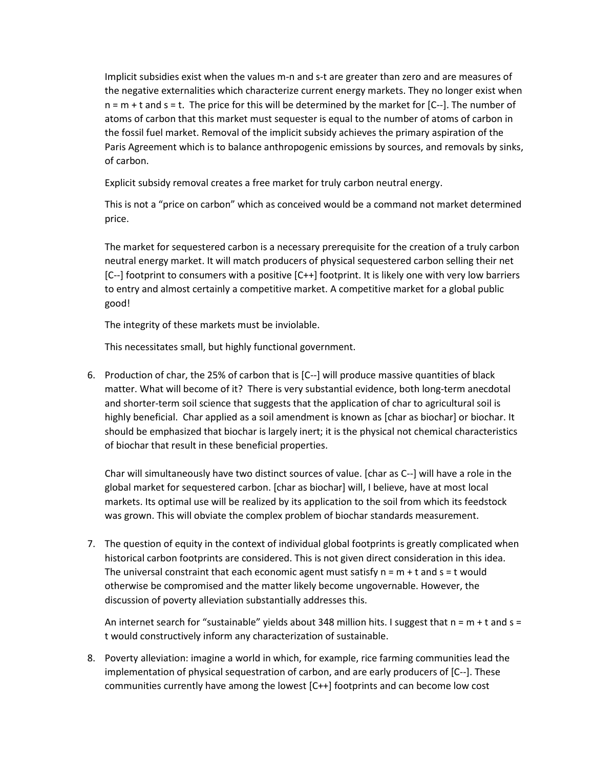Implicit subsidies exist when the values m-n and s-t are greater than zero and are measures of the negative externalities which characterize current energy markets. They no longer exist when  $n = m + t$  and  $s = t$ . The price for this will be determined by the market for  $[C-]$ . The number of atoms of carbon that this market must sequester is equal to the number of atoms of carbon in the fossil fuel market. Removal of the implicit subsidy achieves the primary aspiration of the Paris Agreement which is to balance anthropogenic emissions by sources, and removals by sinks, of carbon.

Explicit subsidy removal creates a free market for truly carbon neutral energy.

This is not a "price on carbon" which as conceived would be a command not market determined price.

The market for sequestered carbon is a necessary prerequisite for the creation of a truly carbon neutral energy market. It will match producers of physical sequestered carbon selling their net [C--] footprint to consumers with a positive [C++] footprint. It is likely one with very low barriers to entry and almost certainly a competitive market. A competitive market for a global public good!

The integrity of these markets must be inviolable.

This necessitates small, but highly functional government.

6. Production of char, the 25% of carbon that is [C--] will produce massive quantities of black matter. What will become of it? There is very substantial evidence, both long-term anecdotal and shorter-term soil science that suggests that the application of char to agricultural soil is highly beneficial. Char applied as a soil amendment is known as [char as biochar] or biochar. It should be emphasized that biochar is largely inert; it is the physical not chemical characteristics of biochar that result in these beneficial properties.

Char will simultaneously have two distinct sources of value. [char as C--] will have a role in the global market for sequestered carbon. [char as biochar] will, I believe, have at most local markets. Its optimal use will be realized by its application to the soil from which its feedstock was grown. This will obviate the complex problem of biochar standards measurement.

7. The question of equity in the context of individual global footprints is greatly complicated when historical carbon footprints are considered. This is not given direct consideration in this idea. The universal constraint that each economic agent must satisfy  $n = m + t$  and  $s = t$  would otherwise be compromised and the matter likely become ungovernable. However, the discussion of poverty alleviation substantially addresses this.

An internet search for "sustainable" yields about 348 million hits. I suggest that  $n = m + t$  and  $s =$ t would constructively inform any characterization of sustainable.

8. Poverty alleviation: imagine a world in which, for example, rice farming communities lead the implementation of physical sequestration of carbon, and are early producers of [C--]. These communities currently have among the lowest [C++] footprints and can become low cost